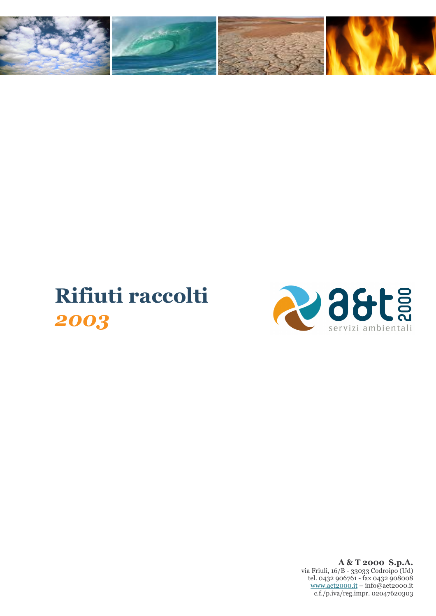

## Rifiuti raccolti 2003



A & T 2000 S.p.A. via Friuli, 16/B - 33033 Codroipo (Ud)<br>tel. 0432 906761 - fax 0432 908008  $\underline{\text{www.act2000.it}} - \text{info@aet2000.it}$ c.f./p.iva/reg.impr. 02047620303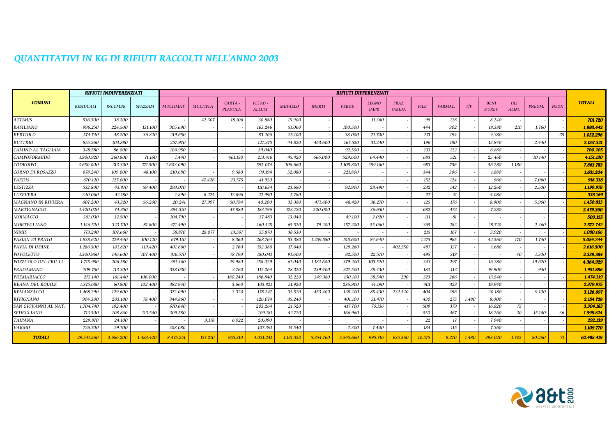## QUANTITATIVI IN KG DI RIFIUTI RACCOLTI NELL'ANNO 2003

|                      | <b>RIFIUTI INDIFFERENZIATI</b> |                |           | <b>RIFIUTI DIFFERENZIATI</b> |                 |                            |                        |                |               |              |                             |                       |             |         |       |                             |                     |        |             |               |
|----------------------|--------------------------------|----------------|-----------|------------------------------|-----------------|----------------------------|------------------------|----------------|---------------|--------------|-----------------------------|-----------------------|-------------|---------|-------|-----------------------------|---------------------|--------|-------------|---------------|
| <b>COMUNI</b>        | <b>RESIDUALI</b>               | <b>INGOMBR</b> | SPAZZAM   | <b>MULTIMAT</b>              | <b>MULTIPLA</b> | CARTA -<br><b>PLASTICA</b> | VETRO-<br><b>ALLUM</b> | <b>METALLO</b> | <b>INERTI</b> | <b>VERDE</b> | <b>LEGNO</b><br><b>IMPR</b> | FRAZ.<br><b>UMIDA</b> | <b>PILE</b> | FARMAC. | T/F   | <b>BENI</b><br><b>DUREV</b> | <i>OLI</i><br>ALIM. | PNEUM. | <b>NEON</b> | <b>TOTALI</b> |
| <b>ATTIMIS</b>       | 536.500                        | 38.200         |           |                              | 42.307          | 18.106                     | 30.880                 | 15.900         |               |              | 11.360                      |                       | 99          | 128     |       | 8.240                       |                     |        |             | 701.720       |
| BASILIANO            | 996.250                        | 224.500        | 131.100   | 305.690                      |                 |                            | 163.246                | 51.060         |               | 100.500      |                             |                       | 444         | 302     |       | 18.380                      | 210                 | 1.760  |             | 1.993.442     |
| <b>BERTIOLO</b>      | 574.740                        | 48.200         | 36.820    | 219.650                      |                 |                            | 83.206                 | 25.100         |               | 38.000       | 21.700                      |                       | 271         | 194     |       | 4.380                       |                     |        | 35          | 1.052.296     |
| <b>BUTTRIO</b>       | 855.260                        | 103.880        |           | 257.970                      |                 |                            | 127.375                | 44.820         | 453.600       | 167.520      | 31.240                      |                       | 196         | 180     |       | 12.840                      |                     | 2.440  |             | 2.057.321     |
| CAMINO AL TAGLIAM    | 348.580                        | 86.000         |           | 106.950                      |                 |                            | 59.040                 |                |               | 92.500       |                             |                       | 133         | 122     |       | 6.880                       |                     |        |             | 700.205       |
| <b>CAMPOFORMIDO</b>  | 1.800.920                      | 260.800        | 71.160    | 1.440                        |                 | 461.130                    | 213.416                | 45.420         | 666.000       | 529.600      | 64.440                      |                       | 683         | 521     |       | 25.460                      |                     | 10.140 |             | 4.151.130     |
| CODROIPO             | 3.650.000                      | 313.300        | 271.500   | 1.603.090                    |                 |                            | 595.074                | 106.660        |               | 1.105.800    | 159.160                     |                       | 983         | 756     |       | 56.280                      | 1.180               |        |             | 7.863.783     |
| CORNO DI ROSAZZO     | 878.240                        | 109.000        | 48.100    | 210.680                      |                 | 9.580                      | 99.194                 | 52.080         |               | 221.800      |                             |                       | 344         | 306     |       | 1.880                       |                     |        |             | 1.631.204     |
| <b>FAEDIS</b>        | 670.120                        | 127.000        |           |                              | 47.426          | 23.575                     | 41.920                 |                |               |              |                             |                       | 152         | 124     |       | 960                         |                     | 7.060  |             | 918.338       |
| LESTIZZA             | 532.800                        | 43.870         | 59.400    | 293.070                      |                 |                            | 110.634                | 23.680         |               | 92.900       | 28.490                      |                       | 232         | 142     |       | 12.260                      |                     | 2.500  |             | 1.199.978     |
| LUSEVERA             | 240.060                        | 42.180         |           | 1.890                        | 8.225           | 12.896                     | 22.990                 | 5.780          |               |              |                             |                       | 27          | 41      |       | 4.080                       |                     |        |             | 338.169       |
| MAGNANO IN RIVIERA   | 607.200                        | 43.320         | 56.260    | 20.241                       | 27.997          | 50.784                     | 40.200                 | 33.380         | 471.600       | 48.420       | 36.270                      |                       | 125         | 176     |       | 8.900                       |                     | 5.960  |             | 1.450.833     |
| MARTIGNACCO          | 1.420.020                      | 74.350         |           | 384.510                      |                 | 47.880                     | 183.796                | 123.720        | 200.000       |              | 36.650                      |                       | 682         | 472     |       | 7.280                       |                     |        |             | 2.479.360     |
| MOIMACCO             | 261.030                        | 32.500         |           | 104.790                      |                 |                            | 37.483                 | 13.040         |               | 49.100       | 2.020                       |                       | 111         | 81      |       |                             |                     |        |             | 500.155       |
| MORTEGLIANO          | 1.146.520                      | 323.700        | 81.800    | 471.490                      |                 |                            | 160.525                | 65.520         | 79.200        | 157.200      | 55.060                      |                       | 365         | 282     |       | 28.720                      |                     | 2.360  |             | 2.572.742     |
| NIMIS                | 773.290                        | 107.660        |           | 58.870                       | 28.077          | 13.567                     | 55.870                 | 38.530         |               |              |                             |                       | 215         | 167     |       | 3.920                       |                     |        |             | 1.080.166     |
| PASIAN DI PRATO      | 1.838.620                      | 229.440        | 100.120   | 679.110                      |                 | 8.360                      | 268.764                | 53.380         | 1.259.580     | 515.600      | 84.640                      |                       | 1.175       | 985     |       | 42.560                      | 170                 | 1.740  |             | 5.084.244     |
| PAVIA DI UDINE       | 1.286.500                      | 101.820        | 119.420   | 401.660                      |                 | 2.760                      | 152.386                | 17.640         |               | 129.260      |                             | 402.550               | 497         | 327     |       | 1.680                       |                     |        |             | 2.616.500     |
| POVOLETTO            | 1.300.960                      | 146.600        | 107.400   | 316.570                      |                 | 78.790                     | 180.041                | 91.600         |               | 92.500       | 22.570                      |                       | 495         | 318     |       |                             | 40                  | 1.500  |             | 2.339.384     |
| POZZUOLO DEL FRIULI  | 1.715.980                      | 206.580        |           | 391.360                      |                 | 29.980                     | 258.029                | 61.040         | 1.182.600     | 379.200      | 103.520                     |                       | 343         | 297     |       | 16.380                      |                     | 19.620 |             | 4.364.929     |
| PRADAMANO            | 709.750                        | 113.300        |           | 358.030                      |                 | 3.760                      | 112.264                | 28.320         | 239.400       | 327.500      | 38.430                      |                       | 180         | 112     |       | 19.900                      |                     | 940    |             | 1.951.886     |
| PREMARIACCO          | 275.140                        | 161.440        | 106.000   |                              |                 | 180.240                    | 186.840                | 32.220         | 349.380       | 130.100      | 38.540                      | 290                   | 323         | 266     |       | 13.540                      |                     |        |             | 1.474.319     |
| REANA DEL ROJALE     | 1.375.680                      | 60.800         | 102.400   | 382.940                      |                 | 3.660                      | 103.821                | 51.920         |               | 236.900      | 41.190                      |                       | 401         | 323     |       | 19.940                      |                     |        |             | 2.379.975     |
| REMANZACCO           | 1.468.290                      | 129.600        |           | 372.090                      |                 | 3.320                      | 178.247                | 35.520         | 453.400       | 138.200      | 85.430                      | 232.520               | 404         | 396     |       | 20.180                      |                     | 9.100  |             | 3.126.697     |
| <b>RIVIGNANO</b>     | 904.300                        | 203.100        | 78.400    | 344.860                      |                 |                            | 126.074                | 35.240         |               | 401.100      | 51.470                      |                       | 430         | 275     | 1.480 | 8.000                       |                     |        |             | 2.154.729     |
| SAN GIOVANNI AL NAT. | 1.704.740                      | 192.400        |           | 670.640                      |                 |                            | 203.264                | 21.520         |               | 417.700      | 76.136                      |                       | 509         | 379     |       | 16.820                      | 75                  |        |             | 3.304.183     |
| SEDEGLIANO           | 713.500                        | 108.860        | 113.540   | 309.580                      |                 |                            | 109.181                | 42.720         |               | 166.960      |                             |                       | 550         | 467     |       | 18.260                      | 30                  | 15.140 | 36          | 1.598.824     |
| TAIPANA              | 229.870                        | 24.100         |           |                              | 3.178           | 6.922                      | 20.090                 |                |               |              |                             |                       | 22          | 17      |       | 7.940                       |                     |        |             | 292.139       |
| <b>VARMO</b>         | 726.700                        | 29.700         |           | 208.080                      |                 |                            | 107.391                | 15.540         |               | 7.300        | 7.400                       |                       | 184         | 115     |       | 7.360                       |                     |        |             | 1.109.770     |
| <b>TOTALI</b>        | 29.541.560                     | 3.686.200      | 1.483.420 | 8.475.251                    | 157.210         | 955.310                    | 4.031.241              | 1.131.350      | 5.354.760     | 5.545.660    | 995.716                     | 635.360               | 10.575      | 8.270   | 1.480 | 393.020                     | 1.705               | 80.260 | 71          | 62.488.419    |

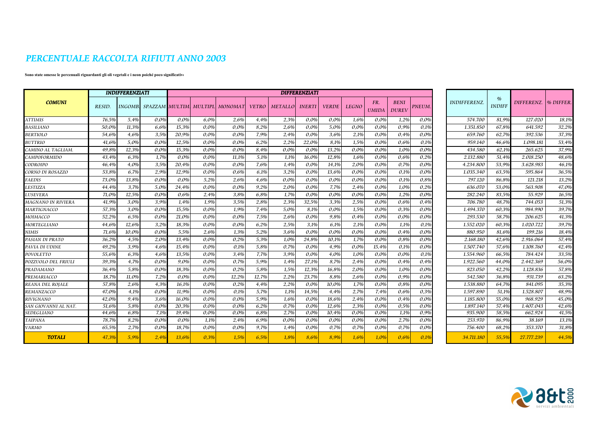## PERCENTUALE RACCOLTA RIFIUTI ANNO 2003

## Sono state omesse le percenuali riguardanti gli oli vegetali e i neon poiché poco significative

|                           |        | <b>INDIFFERENZIATI</b> |      | <b>DIFFERENZIATI</b> |         |                                          |              |         |               |              |              |                     |                             |         |                    |                                |                       |       |
|---------------------------|--------|------------------------|------|----------------------|---------|------------------------------------------|--------------|---------|---------------|--------------|--------------|---------------------|-----------------------------|---------|--------------------|--------------------------------|-----------------------|-------|
| <b>COMUNI</b>             | RESID. |                        |      |                      |         | INGOMB. SPAZZAM MULTIM. MULTIPL\ MONOMAT | <b>VETRO</b> | METALLO | <b>INERTI</b> | <b>VERDE</b> | <b>LEGNO</b> | FR.<br><b>UMIDA</b> | <b>BENI</b><br><b>DUREV</b> | PNEUM.  | <b>INDIFFERENZ</b> | $\frac{a}{b}$<br><b>INDIFF</b> | DIFFERENZ.  % DIFFER. |       |
| <b>ATTIMIS</b>            | 76,5%  | 5,4%                   | 0,0% | $0.0\%$              | 6.0%    | 2,6%                                     | 4,4%         | 2,3%    | $0.0\%$       | 0.0%         | 1,6%         | 0.0%                | 1,2%                        | 0,0%    | 574.700            | 81.9%                          | 127.020               | 18,1% |
| <b>BASILIANO</b>          | 50,0%  | 11.3%                  | 6,6% | 15.3%                | $0.0\%$ | $0.0\%$                                  | 8,2%         | 2,6%    | $0.0\%$       | 5,0%         | 0,0%         | 0,0%                | 0.9%                        | 0,1%    | 1.351.850          | 67,8%                          | 641.592               | 32,2% |
| <b>BERTIOLO</b>           | 54,6%  | 4.6%                   | 3.5% | 20.9%                | $0.0\%$ | 0.0%                                     | 7.9%         | 2,4%    | 0.0%          | 3,6%         | 2,1%         | $0.0\%$             | 0,4%                        | $0.0\%$ | 659.760            | 62,7%                          | 392.536               | 37,3% |
| <b>BUTTRIO</b>            | 41,6%  | 5.0%                   | 0,0% | 12,5%                | 0,0%    | $0.0\%$                                  | 6,2%         | 2,2%    | 22,0%         | 8,1%         | 1,5%         | 0,0%                | 0,6%                        | 0,1%    | 959.140            | 46,6%                          | 1.098.181             | 53,4% |
| CAMINO AL TAGLIAM.        | 49.8%  | 12.3%                  | 0,0% | 15.3%                | $0.0\%$ | $0.0\%$                                  | 8,4%         | 0,0%    | $0.0\%$       | 13,2%        | $0.0\%$      | 0,0%                | 1.0%                        | $0.0\%$ | 434.580            | 62.1%                          | 265.625               | 37,9% |
| CAMPOFORMIDO              | 43.4%  | 6.3%                   | 1.7% | $0.0\%$              | 0.0%    | 11.1%                                    | 5.1%         | 1,1%    | 16.0%         | 12,8%        | 1,6%         | $0.0\%$             | 0,6%                        | 0,2%    | 2.132.880          | 51.4%                          | 2.018.250             | 48,6% |
| CODROIPO                  | 46.4%  | 4.0%                   | 3.5% | 20.4%                | $0.0\%$ | $0.0\%$                                  | 7.6%         | 1.4%    | $0.0\%$       | 14.1%        | 2.0%         | 0.0%                | 0.7%                        | $0.0\%$ | 4.234.800          | 53.9%                          | 3.628.983             | 46,1% |
| CORNO DI ROSAZZO          | 53,8%  | 6.7%                   | 2,9% | 12.9%                | 0.0%    | 0.6%                                     | 6.1%         | 3,2%    | 0.0%          | 13.6%        | $0.0\%$      | $0.0\%$             | 0,1%                        | $0.0\%$ | 1.035.340          | 63,5%                          | 595.864               | 36,5% |
| <b>FAEDIS</b>             | 73.0%  | 13.8%                  | 0.0% | $0.0\%$              | 5,2%    | 2,6%                                     | 4.6%         | $0.0\%$ | 0.0%          | $0.0\%$      | $0.0\%$      | $0.0\%$             | 0.1%                        | 0,8%    | 797.120            | 86,8%                          | 121.218               | 13,2% |
| LESTIZZA                  | 44.4%  | 3.7%                   | 5.0% | 24.4%                | 0.0%    | $0.0\%$                                  | 9.2%         | 2,0%    | 0.0%          | 7,7%         | 2,4%         | $0.0\%$             | 1.0%                        | 0.2%    | 636.070            | 53.0%                          | 563.908               | 47,0% |
| LUSEVERA                  | 71.0%  | 12.5%                  | 0.0% | 0.6%                 | 2.4%    | 3.8%                                     | 6.8%         | 1.7%    | 0.0%          | $0.0\%$      | $0.0\%$      | $0.0\%$             | 1.2%                        | 0.0%    | 282.240            | 83.5%                          | 55.929                | 16,5% |
| <b>MAGNANO IN RIVIERA</b> | 41.9%  | 3.0%                   | 3.9% | 1.4%                 | 1.9%    | 3.5%                                     | 2.8%         | 2,3%    | 32,5%         | 3.3%         | 2,5%         | $0.0\%$             | 0.6%                        | 0,4%    | 706.780            | 48.7%                          | 744.053               | 51,3% |
| MARTIGNACCO               | 57,3%  | 3.0%                   | 0.0% | 15.5%                | 0.0%    | 1.9%                                     | 7,4%         | 5,0%    | 8,1%          | $0.0\%$      | 1,5%         | $0.0\%$             | 0,3%                        | $0.0\%$ | 1.494.370          | 60.3%                          | 984.990               | 39,7% |
| MOIMACCO                  | 52,2%  | 6.5%                   | 0.0% | 21.0%                | 0.0%    | $0.0\%$                                  | 7.5%         | 2.6%    | $0.0\%$       | 9.8%         | 0.4%         | $0.0\%$             | $0.0\%$                     | $0.0\%$ | 293.530            | 58.7%                          | 206.625               | 41.3% |
| MORTEGLIANO               | 44,6%  | 12,6%                  | 3,2% | 18.3%                | 0,0%    | $0.0\%$                                  | 6,2%         | 2,5%    | 3,1%          | 6,1%         | 2,1%         | 0,0%                | 1,1%                        | 0,1%    | 1.552.020          | 60,3%                          | 1.020.722             | 39,7% |
| NIMIS                     | 71,6%  | 10.0%                  | 0.0% | 5.5%                 | 2.6%    | 1,3%                                     | 5,2%         | 3.6%    | 0.0%          | $0.0\%$      | $0.0\%$      | $0.0\%$             | 0.4%                        | $0.0\%$ | 880.950            | 81,6%                          | 199.216               | 18,4% |
| PASIAN DI PRATO           | 36.2%  | 4.5%                   | 2.0% | 13.4%                | 0.0%    | 0.2%                                     | 5.3%         | 1.0%    | 24.8%         | 10.1%        | 1.7%         | $0.0\%$             | 0.8%                        | 0,0%    | 2.168.180          | 42.6%                          | 2.916.064             | 57,4% |
| PAVIA DI UDINE            | 49,2%  | 3.9%                   | 4,6% | 15,4%                | 0,0%    | 0,1%                                     | 5,8%         | 0,7%    | 0,0%          | 4,9%         | $0.0\%$      | 15,4%               | 0,1%                        | $0.0\%$ | 1.507.740          | 57,6%                          | 1.108.760             | 42,4% |
| POVOLETTO                 | 55.6%  | 6.3%                   | 4.6% | 13.5%                | 0.0%    | 3.4%                                     | 7.7%         | 3.9%    | 0.0%          | 4.0%         | 1.0%         | $0.0\%$             | $0.0\%$                     | 0,1%    | 1.554.960          | 66.5%                          | 784.424               | 33,5% |
| POZZUOLO DEL FRIULI       | 39.3%  | 4.7%                   | 0.0% | 9.0%                 | 0.0%    | 0.7%                                     | 5.9%         | 1.4%    | 27,1%         | 8,7%         | 2,4%         | $0.0\%$             | 0.4%                        | 0.4%    | 1.922.560          | 44.0%                          | 2.442.369             | 56,0% |
| PRADAMANO                 | 36,4%  | 5.8%                   | 0.0% | 18.3%                | $0.0\%$ | 0,2%                                     | 5.8%         | 1,5%    | 12,3%         | 16,8%        | 2.0%         | 0.0%                | 1.0%                        | $0.0\%$ | 823.050            | 42,2%                          | 1.128.836             | 57,8% |
| PREMARIACCO               | 18,7%  | 11.0%                  | 7,2% | $0.0\%$              | $0.0\%$ | 12,2%                                    | 12,7%        | 2,2%    | 23,7%         | 8,8%         | 2,6%         | $0.0\%$             | 0,9%                        | 0.0%    | 542.580            | 36,8%                          | 931.739               | 63,2% |
| <b>REANA DEL ROJALE</b>   | 57.8%  | 2.6%                   | 4.3% | 16.1%                | 0.0%    | 0.2%                                     | 4.4%         | 2,2%    | 0.0%          | 10.0%        | 1,7%         | $0.0\%$             | 0.8%                        | 0,0%    | 1.538.880          | 64.7%                          | 841.095               | 35,3% |
| REMANZACCO                | 47.0%  | 4.1%                   | 0.0% | 11.9%                | $0.0\%$ | 0.1%                                     | 5.7%         | 1,1%    | 14.5%         | 4,4%         | 2,7%         | 7.4%                | 0.6%                        | 0,3%    | 1.597.890          | 51.1%                          | 1.528.807             | 48.9% |
| <b>RIVIGNANO</b>          | 42.0%  | 9.4%                   | 3.6% | 16.0%                | 0.0%    | $0.0\%$                                  | 5.9%         | 1.6%    | 0.0%          | 18.6%        | 2.4%         | 0.0%                | 0.4%                        | $0.0\%$ | 1.185.800          | 55.0%                          | 968.929               | 45.0% |
| SAN GIOVANNI AL NAT.      | 51,6%  | 5,8%                   | 0,0% | 20.3%                | $0.0\%$ | 0.0%                                     | 6,2%         | 0,7%    | 0.0%          | 12,6%        | 2,3%         | 0.0%                | 0,5%                        | 0,0%    | 1.897.140          | 57,4%                          | 1.407.043             | 42,6% |
| SEDEGLIANO                | 44.6%  | 6.8%                   | 7,1% | 19.4%                | $0.0\%$ | 0.0%                                     | 6.8%         | 2,7%    | 0.0%          | 10,4%        | $0.0\%$      | $0.0\%$             | 1,1%                        | 0,9%    | 935.900            | 58.5%                          | 662.924               | 41,5% |
| <b>TAIPANA</b>            | 78,7%  | 8.2%                   | 0,0% | $0.0\%$              | 1.1%    | 2,4%                                     | 6.9%         | 0,0%    | 0.0%          | 0.0%         | 0,0%         | 0,0%                | 2,7%                        | $0.0\%$ | 253.970            | 86.9%                          | 38.169                | 13,1% |
| <b>VARMO</b>              | 65,5%  | 2.7%                   | 0.0% | 18.7%                | 0.0%    | $0.0\%$                                  | 9,7%         | 1,4%    | 0.0%          | 0,7%         | 0,7%         | $0.0\%$             | 0.7%                        | $0.0\%$ | 756.400            | 68,2%                          | 353.370               | 31.8% |
| <b>TOTALI</b>             | 47.3%  | 5.9%                   | 2.4% | 13.6%                | 0.3%    | 1.5%                                     | 6.5%         | 1.8%    | 8.6%          | 8.9%         | 1.6%         | 1.0%                | 0.6%                        | 0.1%    | 34.711.180         | 55.5%                          | 27.777.239            | 44.5% |

| <b>INDIFFERENZ.</b> | $\frac{q}{q}$<br><b>INDIFF</b> | <b>DIFFERENZ.</b> | % DIFFER. |
|---------------------|--------------------------------|-------------------|-----------|
| 574.700             | 81,9%                          | 127.020           | 18,1%     |
| 1.351.850           | 67,8%                          | 641.592           | 32,2%     |
| 659.760             | 62,7%                          | 392.536           | 37,3%     |
| 959.140             | 46,6%                          | 1.098.181         | 53,4%     |
| 434.580             | 62,1%                          | 265.625           | 37,9%     |
| 2.132.880           | 51,4%                          | 2.018.250         | 48,6%     |
| 4.234.800           | 53,9%                          | 3.628.983         | 46,1%     |
| 1.035.340           | 63,5%                          | 595.864           | 36,5%     |
| 797.120             | 86,8%                          | 121.218           | 13,2%     |
| 636.070             | 53,0%                          | 563.908           | 47,0%     |
| 282.240             | 83,5%                          | 55.929            | 16,5%     |
| 706.780             | 48,7%                          | 744.053           | 51,3%     |
| 1.494.370           | 60,3%                          | 984.990           | 39,7%     |
| 293.530             | 58,7%                          | 206.625           | 41,3%     |
| 1.552.020           | 60,3%                          | 1.020.722         | 39,7%     |
| 880.950             | 81,6%                          | 199.216           | 18,4%     |
| 2.168.180           | 42,6%                          | 2.916.064         | 57,4%     |
| 1.507.740           | 57,6%                          | 1.108.760         | 42,4%     |
| 1.554.960           | 66,5%                          | 784.424           | 33,5%     |
| 1.922.560           | 44,0%                          | 2.442.369         | 56,0%     |
| 823.050             | 42,2%                          | 1.128.836         | 57,8%     |
| 542.580             | 36,8%                          | 931.739           | 63,2%     |
| 1.538.880           | 64,7%                          | 841.095           | 35,3%     |
| 1.597.890           | 51,1%                          | 1.528.807         | 48.9%     |
| 1.185.800           | 55,0%                          | 968.929           | 45,0%     |
| 1.897.140           | 57,4%                          | 1.407.043         | 42,6%     |
| 935.900             | 58,5%                          | 662.924           | 41,5%     |
| 253.970             | 86,9%                          | 38.169            | 13,1%     |
| 756.400             | 68,2%                          | 353.370           | 31,8%     |
| 34.711.180          | 55,5%                          | 27.777.239        | 44,5%     |